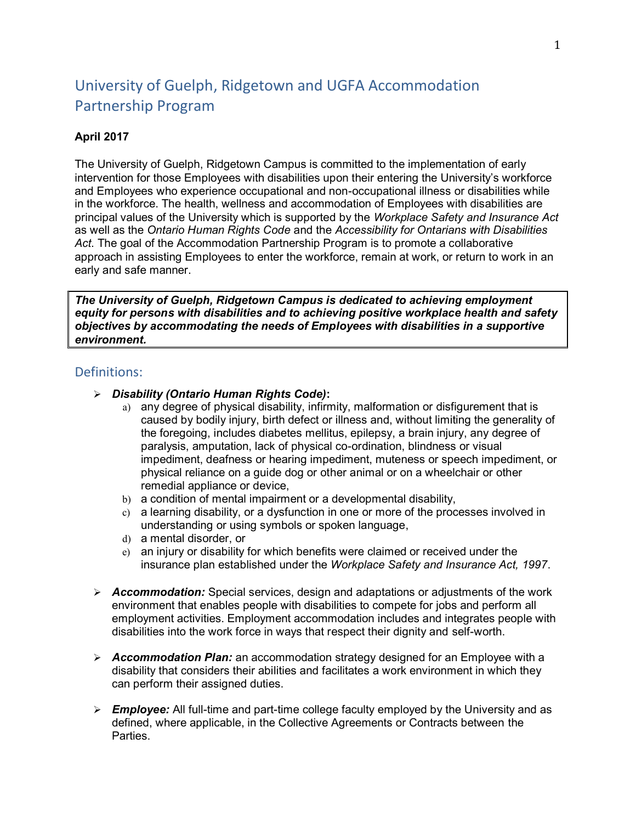# University of Guelph, Ridgetown and UGFA Accommodation Partnership Program

## **April 2017**

The University of Guelph, Ridgetown Campus is committed to the implementation of early intervention for those Employees with disabilities upon their entering the University's workforce and Employees who experience occupational and non-occupational illness or disabilities while in the workforce. The health, wellness and accommodation of Employees with disabilities are principal values of the University which is supported by the *Workplace Safety and Insurance Act*  as well as the *Ontario Human Rights Code* and the *Accessibility for Ontarians with Disabilities Act*. The goal of the Accommodation Partnership Program is to promote a collaborative approach in assisting Employees to enter the workforce, remain at work, or return to work in an early and safe manner.

*The University of Guelph, Ridgetown Campus is dedicated to achieving employment equity for persons with disabilities and to achieving positive workplace health and safety objectives by accommodating the needs of Employees with disabilities in a supportive environment.* 

### Definitions:

- ➢ *Disability (Ontario Human Rights Code)***:** 
	- a) any degree of physical disability, infirmity, malformation or disfigurement that is caused by bodily injury, birth defect or illness and, without limiting the generality of the foregoing, includes diabetes mellitus, epilepsy, a brain injury, any degree of paralysis, amputation, lack of physical co-ordination, blindness or visual impediment, deafness or hearing impediment, muteness or speech impediment, or physical reliance on a guide dog or other animal or on a wheelchair or other remedial appliance or device,
	- b) a condition of mental impairment or a developmental disability,
	- c) a learning disability, or a dysfunction in one or more of the processes involved in understanding or using symbols or spoken language,
	- d) a mental disorder, or
	- e) an injury or disability for which benefits were claimed or received under the insurance plan established under the *Workplace Safety and Insurance Act, 1997*.
- ➢ *Accommodation:* Special services, design and adaptations or adjustments of the work environment that enables people with disabilities to compete for jobs and perform all employment activities. Employment accommodation includes and integrates people with disabilities into the work force in ways that respect their dignity and self-worth.
- ➢ *Accommodation Plan:* an accommodation strategy designed for an Employee with a disability that considers their abilities and facilitates a work environment in which they can perform their assigned duties.
- ➢ *Employee:* All full-time and part-time college faculty employed by the University and as defined, where applicable, in the Collective Agreements or Contracts between the **Parties**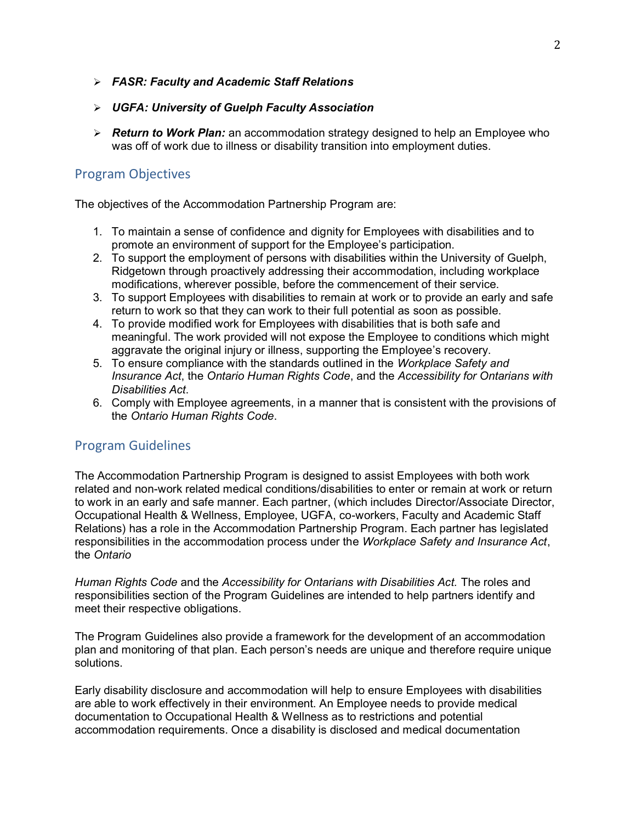- ➢ *FASR: Faculty and Academic Staff Relations*
- ➢ *UGFA: University of Guelph Faculty Association*
- ➢ *Return to Work Plan:* an accommodation strategy designed to help an Employee who was off of work due to illness or disability transition into employment duties.

# Program Objectives

The objectives of the Accommodation Partnership Program are:

- 1. To maintain a sense of confidence and dignity for Employees with disabilities and to promote an environment of support for the Employee's participation.
- 2. To support the employment of persons with disabilities within the University of Guelph, Ridgetown through proactively addressing their accommodation, including workplace modifications, wherever possible, before the commencement of their service.
- 3. To support Employees with disabilities to remain at work or to provide an early and safe return to work so that they can work to their full potential as soon as possible.
- 4. To provide modified work for Employees with disabilities that is both safe and meaningful. The work provided will not expose the Employee to conditions which might aggravate the original injury or illness, supporting the Employee's recovery.
- 5. To ensure compliance with the standards outlined in the *Workplace Safety and Insurance Act*, the *Ontario Human Rights Code*, and the *Accessibility for Ontarians with Disabilities Act*.
- 6. Comply with Employee agreements, in a manner that is consistent with the provisions of  the *Ontario Human Rights Code*.

# Program Guidelines

 The Accommodation Partnership Program is designed to assist Employees with both work related and non-work related medical conditions/disabilities to enter or remain at work or return to work in an early and safe manner. Each partner, (which includes Director/Associate Director, Occupational Health & Wellness, Employee, UGFA, co-workers, Faculty and Academic Staff Relations) has a role in the Accommodation Partnership Program. Each partner has legislated responsibilities in the accommodation process under the *Workplace Safety and Insurance Act*, the *Ontario* 

 *Human Rights Code* and the *Accessibility for Ontarians with Disabilities Act.* The roles and responsibilities section of the Program Guidelines are intended to help partners identify and meet their respective obligations.

 The Program Guidelines also provide a framework for the development of an accommodation plan and monitoring of that plan. Each person's needs are unique and therefore require unique solutions.

 Early disability disclosure and accommodation will help to ensure Employees with disabilities are able to work effectively in their environment. An Employee needs to provide medical documentation to Occupational Health & Wellness as to restrictions and potential accommodation requirements. Once a disability is disclosed and medical documentation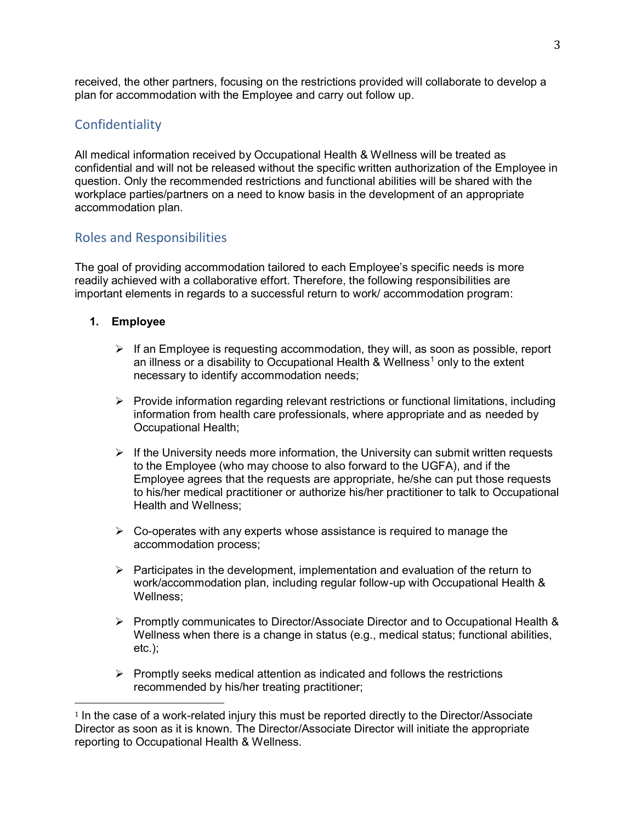received, the other partners, focusing on the restrictions provided will collaborate to develop a plan for accommodation with the Employee and carry out follow up.

# **Confidentiality**

 All medical information received by Occupational Health & Wellness will be treated as confidential and will not be released without the specific written authorization of the Employee in question. Only the recommended restrictions and functional abilities will be shared with the workplace parties/partners on a need to know basis in the development of an appropriate accommodation plan.

# Roles and Responsibilities

 The goal of providing accommodation tailored to each Employee's specific needs is more readily achieved with a collaborative effort. Therefore, the following responsibilities are important elements in regards to a successful return to work/ accommodation program:

## **1. Employee**

- ➢ If an Employee is requesting accommodation, they will, as soon as possible, report an illness or a disability to Occupational Health & Wellness<sup>1</sup> only to the extent necessary to identify accommodation needs;
- ➢ Provide information regarding relevant restrictions or functional limitations, including information from health care professionals, where appropriate and as needed by Occupational Health;
- $\triangleright$  If the University needs more information, the University can submit written requests to the Employee (who may choose to also forward to the UGFA), and if the Employee agrees that the requests are appropriate, he/she can put those requests to his/her medical practitioner or authorize his/her practitioner to talk to Occupational Health and Wellness;
- $\triangleright$  Co-operates with any experts whose assistance is required to manage the accommodation process;
- $\triangleright$  Participates in the development, implementation and evaluation of the return to work/accommodation plan, including regular follow-up with Occupational Health & Wellness;
- ➢ Promptly communicates to Director/Associate Director and to Occupational Health & Wellness when there is a change in status (e.g., medical status; functional abilities, etc.);
- ➢ Promptly seeks medical attention as indicated and follows the restrictions recommended by his/her treating practitioner;

i<br>I  $^{\rm 1}$  In the case of a work-related injury this must be reported directly to the Director/Associate  $^{\rm 1}$  Director as soon as it is known. The Director/Associate Director will initiate the appropriate reporting to Occupational Health & Wellness.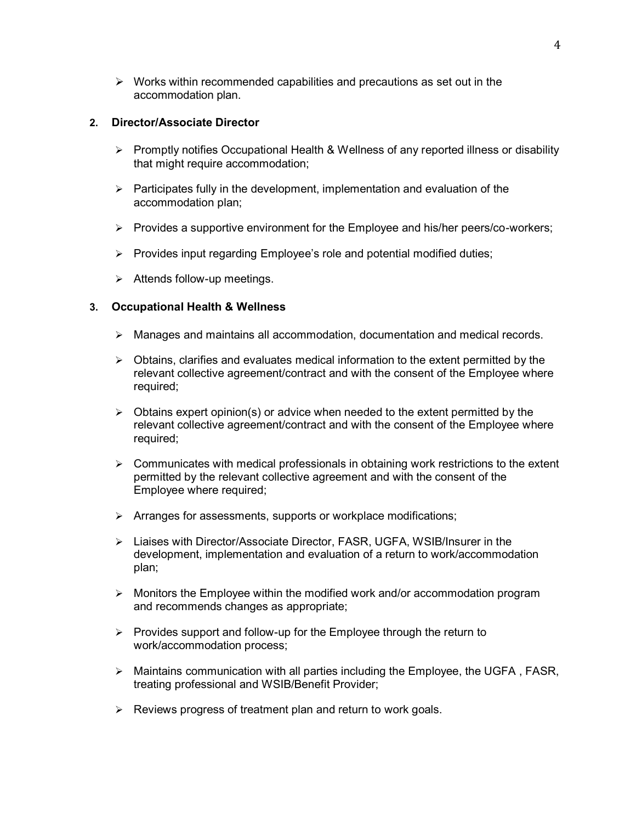➢ Works within recommended capabilities and precautions as set out in the accommodation plan.

### **2. Director/Associate Director**

- ➢ Promptly notifies Occupational Health & Wellness of any reported illness or disability that might require accommodation;
- ➢ Participates fully in the development, implementation and evaluation of the accommodation plan;
- ➢ Provides a supportive environment for the Employee and his/her peers/co-workers;
- ➢ Provides input regarding Employee's role and potential modified duties;
- ➢ Attends follow-up meetings.

### **3. Occupational Health & Wellness**

- ➢ Manages and maintains all accommodation, documentation and medical records.
- ➢ Obtains, clarifies and evaluates medical information to the extent permitted by the relevant collective agreement/contract and with the consent of the Employee where required;
- ➢ Obtains expert opinion(s) or advice when needed to the extent permitted by the relevant collective agreement/contract and with the consent of the Employee where required;
- $\triangleright$   $\;$  Communicates with medical professionals in obtaining work restrictions to the extent permitted by the relevant collective agreement and with the consent of the Employee where required;
- ➢ Arranges for assessments, supports or workplace modifications;
- development, implementation and evaluation of a return to work/accommodation ➢ Liaises with Director/Associate Director, FASR, UGFA, WSIB/Insurer in the plan;
- ➢ Monitors the Employee within the modified work and/or accommodation program and recommends changes as appropriate;
- ➢ Provides support and follow-up for the Employee through the return to work/accommodation process;
- ➢ Maintains communication with all parties including the Employee, the UGFA , FASR, treating professional and WSIB/Benefit Provider;
- ➢ Reviews progress of treatment plan and return to work goals.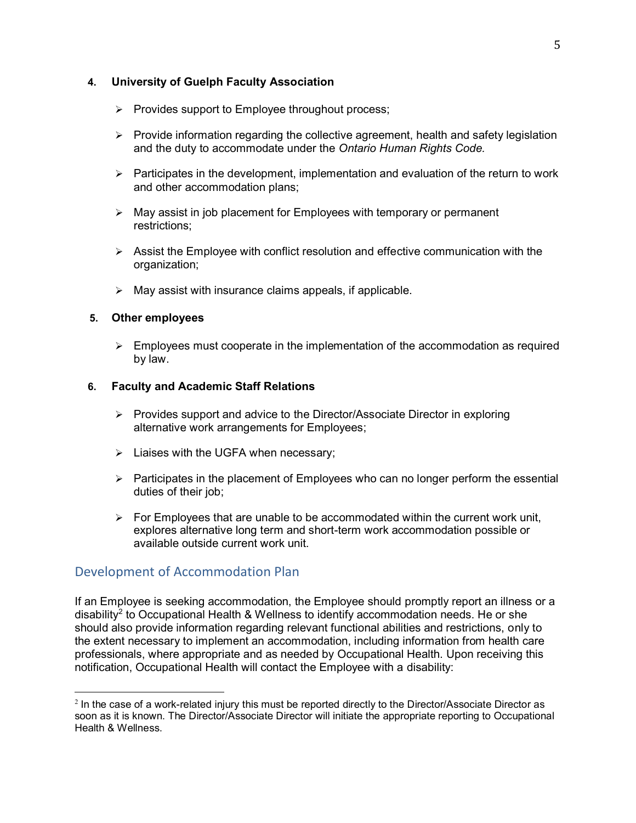## **4. University of Guelph Faculty Association**

- ➢ Provides support to Employee throughout process;
- ➢ Provide information regarding the collective agreement, health and safety legislation and the duty to accommodate under the *Ontario Human Rights Code.*
- ➢ Participates in the development, implementation and evaluation of the return to work and other accommodation plans;
- ➢ May assist in job placement for Employees with temporary or permanent restrictions;
- ➢ Assist the Employee with conflict resolution and effective communication with the organization;
- $\triangleright$  May assist with insurance claims appeals, if applicable.

### **5. Other employees**

 ➢ Employees must cooperate in the implementation of the accommodation as required by law.

### **6. Faculty and Academic Staff Relations**

- ➢ Provides support and advice to the Director/Associate Director in exploring alternative work arrangements for Employees;
- ➢ Liaises with the UGFA when necessary;
- ➢ Participates in the placement of Employees who can no longer perform the essential duties of their job;
- ➢ For Employees that are unable to be accommodated within the current work unit, explores alternative long term and short-term work accommodation possible or available outside current work unit.

# Development of Accommodation Plan

 If an Employee is seeking accommodation, the Employee should promptly report an illness or a disability $^2$  to Occupational Health & Wellness to identify accommodation needs. He or she should also provide information regarding relevant functional abilities and restrictions, only to the extent necessary to implement an accommodation, including information from health care professionals, where appropriate and as needed by Occupational Health. Upon receiving this notification, Occupational Health will contact the Employee with a disability:

 $\overline{\phantom{a}}$  $^2$  In the case of a work-related injury this must be reported directly to the Director/Associate Director as soon as it is known. The Director/Associate Director will initiate the appropriate reporting to Occupational Health & Wellness.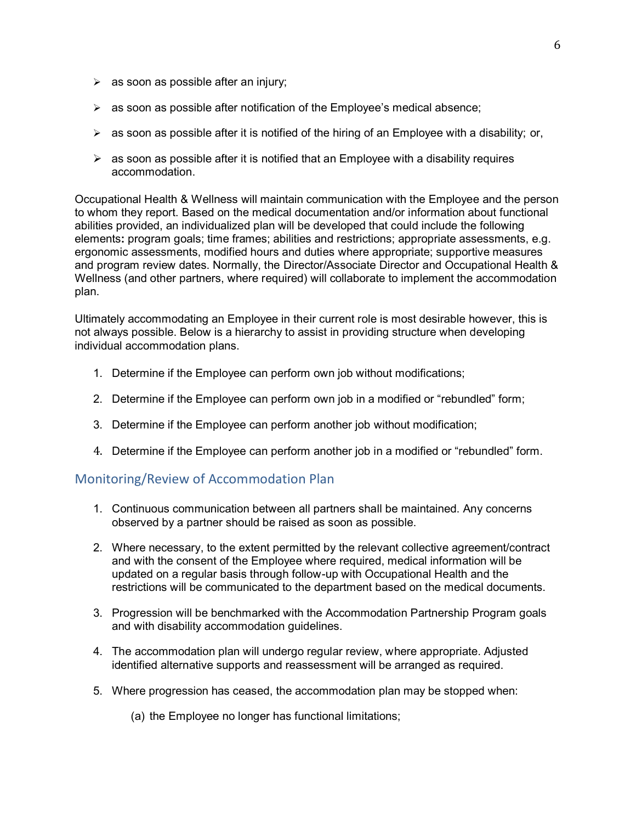- $\triangleright$  as soon as possible after an injury;
- ➢ as soon as possible after notification of the Employee's medical absence;
- $\triangleright$  as soon as possible after it is notified of the hiring of an Employee with a disability; or,
- $\triangleright$  as soon as possible after it is notified that an Employee with a disability requires accommodation.

 Occupational Health & Wellness will maintain communication with the Employee and the person to whom they report. Based on the medical documentation and/or information about functional abilities provided, an individualized plan will be developed that could include the following elements**:** program goals; time frames; abilities and restrictions; appropriate assessments, e.g. ergonomic assessments, modified hours and duties where appropriate; supportive measures and program review dates. Normally, the Director/Associate Director and Occupational Health & Wellness (and other partners, where required) will collaborate to implement the accommodation plan.

 Ultimately accommodating an Employee in their current role is most desirable however, this is not always possible. Below is a hierarchy to assist in providing structure when developing individual accommodation plans.

- 1. Determine if the Employee can perform own job without modifications;
- 2. Determine if the Employee can perform own job in a modified or "rebundled" form;
- 3. Determine if the Employee can perform another job without modification;
- 4. Determine if the Employee can perform another job in a modified or "rebundled" form.

## Monitoring/Review of Accommodation Plan

- 1. Continuous communication between all partners shall be maintained. Any concerns observed by a partner should be raised as soon as possible.
- 2. Where necessary, to the extent permitted by the relevant collective agreement/contract and with the consent of the Employee where required, medical information will be updated on a regular basis through follow-up with Occupational Health and the restrictions will be communicated to the department based on the medical documents.
- 3. Progression will be benchmarked with the Accommodation Partnership Program goals and with disability accommodation guidelines.
- 4. The accommodation plan will undergo regular review, where appropriate. Adjusted identified alternative supports and reassessment will be arranged as required.
- 5. Where progression has ceased, the accommodation plan may be stopped when:
	- (a) the Employee no longer has functional limitations;